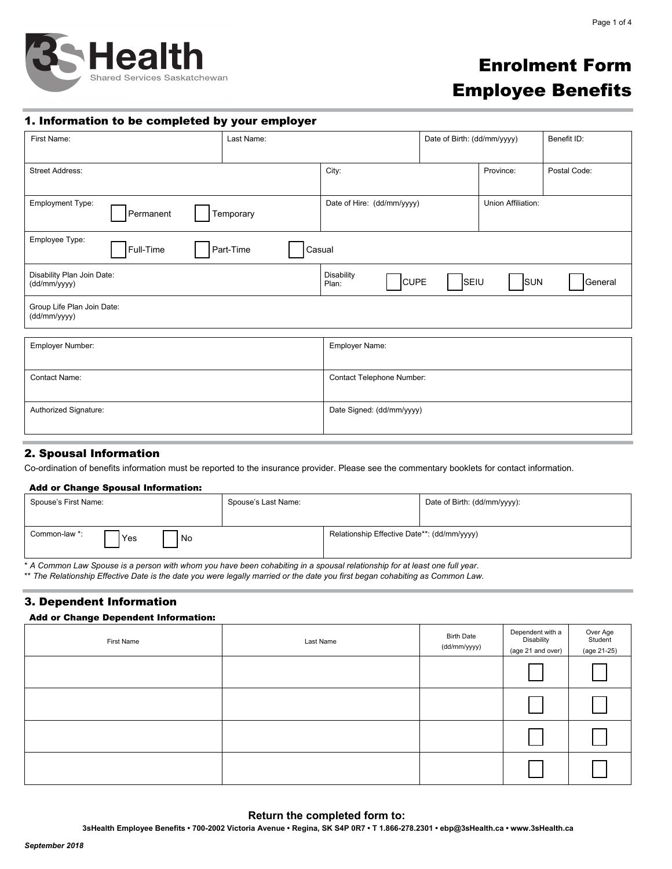

# Enrolment Form Employee Benefits

# 1. Information to be completed by your employer

| First Name:                                       | Last Name:          |                                                  | Date of Birth: (dd/mm/yyyy) |           | Benefit ID:  |
|---------------------------------------------------|---------------------|--------------------------------------------------|-----------------------------|-----------|--------------|
| <b>Street Address:</b>                            |                     | City:                                            |                             | Province: | Postal Code: |
| <b>Employment Type:</b><br>Temporary<br>Permanent |                     | Union Affiliation:<br>Date of Hire: (dd/mm/yyyy) |                             |           |              |
| Employee Type:<br>Full-Time                       | Part-Time<br>Casual |                                                  |                             |           |              |
| Disability Plan Join Date:<br>(dd/mm/yyyy)        |                     | Disability<br><b>CUPE</b><br>Plan:               | SEIU                        | SUN       | General      |
| Group Life Plan Join Date:<br>(dd/mm/yyyy)        |                     |                                                  |                             |           |              |
| Employer Number:                                  |                     | Employer Name:                                   |                             |           |              |
| Contact Name:                                     |                     | Contact Telephone Number:                        |                             |           |              |
| Authorized Signature:                             |                     | Date Signed: (dd/mm/yyyy)                        |                             |           |              |

# 2. Spousal Information

Co-ordination of benefits information must be reported to the insurance provider. Please see the commentary booklets for contact information.

## Add or Change Spousal Information:

| Spouse's First Name:         | Spouse's Last Name:                         | Date of Birth: (dd/mm/yyyy): |
|------------------------------|---------------------------------------------|------------------------------|
| Common-law *:<br>Yes<br>l No | Relationship Effective Date**: (dd/mm/yyyy) |                              |

\* *A Common Law Spouse is a person with whom you have been cohabiting in a spousal relationship for at least one full year.* 

\*\* *The Relationship Effective Date is the date you were legally married or the date you first began cohabiting as Common Law.* 

# 3. Dependent Information

## Add or Change Dependent Information:

| First Name | Last Name | <b>Birth Date</b><br>(dd/mm/yyyy) | Dependent with a<br>Disability<br>(age 21 and over) | Over Age<br>Student<br>(age 21-25) |
|------------|-----------|-----------------------------------|-----------------------------------------------------|------------------------------------|
|            |           |                                   |                                                     |                                    |
|            |           |                                   |                                                     |                                    |
|            |           |                                   |                                                     |                                    |
|            |           |                                   |                                                     |                                    |

# **Return the completed form to:**

**3sHealth Employee Benefits • 700-2002 Victoria Avenue • Regina, SK S4P 0R7 • T 1.866-278.2301 • ebp@3sHealth.ca • www.3sHealth.ca**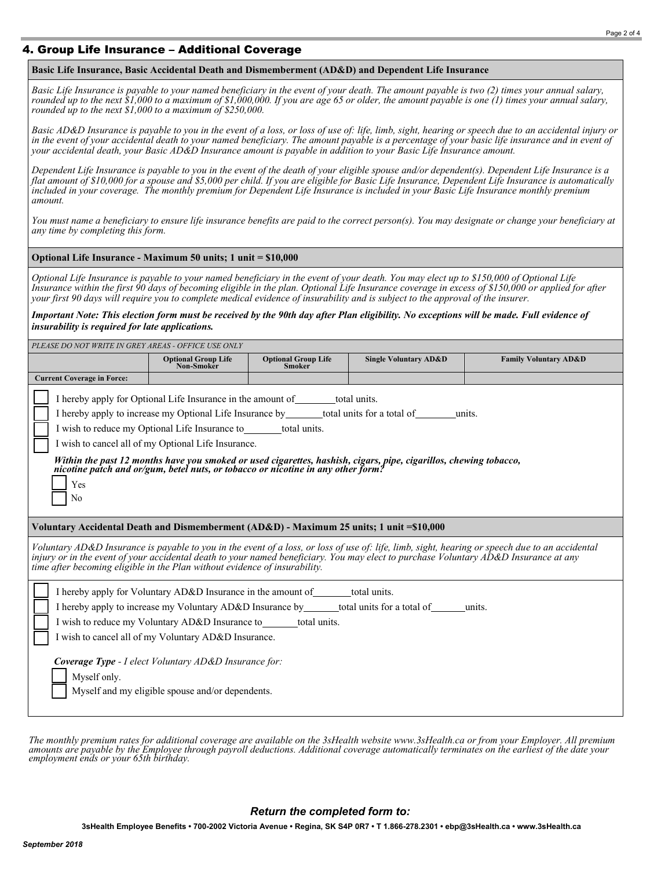# 4. Group Life Insurance – Additional Coverage

## **Basic Life Insurance, Basic Accidental Death and Dismemberment (AD&D) and Dependent Life Insurance**

*Basic Life Insurance is payable to your named beneficiary in the event of your death. The amount payable is two (2) times your annual salary, rounded up to the next \$1,000 to a maximum of \$1,000,000. If you are age 65 or older, the amount payable is one (1) times your annual salary, rounded up to the next \$1,000 to a maximum of \$250,000.*

*Basic AD&D Insurance is payable to you in the event of a loss, or loss of use of: life, limb, sight, hearing or speech due to an accidental injury or in the event of your accidental death to your named beneficiary. The amount payable is a percentage of your basic life insurance and in event of your accidental death, your Basic AD&D Insurance amount is payable in addition to your Basic Life Insurance amount.*

*Dependent Life Insurance is payable to you in the event of the death of your eligible spouse and/or dependent(s). Dependent Life Insurance is a flat amount of \$10,000 for a spouse and \$5,000 per child. If you are eligible for Basic Life Insurance, Dependent Life Insurance is automatically*  included in your coverage. The monthly premium for Dependent Life Insurance is included in your Basic Life Insurance monthly premium *amount.*

*You must name a beneficiary to ensure life insurance benefits are paid to the correct person(s). You may designate or change your beneficiary at any time by completing this form.*

## **Optional Life Insurance - Maximum 50 units; 1 unit = \$10,000**

*Optional Life Insurance is payable to your named beneficiary in the event of your death. You may elect up to \$150,000 of Optional Life Insurance within the first 90 days of becoming eligible in the plan. Optional Life Insurance coverage in excess of \$150,000 or applied for after your first 90 days will require you to complete medical evidence of insurability and is subject to the approval of the insurer.*

## *Important Note: This election form must be received by the 90th day after Plan eligibility. No exceptions will be made. Full evidence of insurability is required for late applications.*

| PLEASE DO NOT WRITE IN GREY AREAS - OFFICE USE ONLY                                                                                                                                                                                                                                                                                                                                                                                                                                                                                           |                                                                                                                                                                                                                                                                                                                       |                                             |                                                                                      |                                  |
|-----------------------------------------------------------------------------------------------------------------------------------------------------------------------------------------------------------------------------------------------------------------------------------------------------------------------------------------------------------------------------------------------------------------------------------------------------------------------------------------------------------------------------------------------|-----------------------------------------------------------------------------------------------------------------------------------------------------------------------------------------------------------------------------------------------------------------------------------------------------------------------|---------------------------------------------|--------------------------------------------------------------------------------------|----------------------------------|
|                                                                                                                                                                                                                                                                                                                                                                                                                                                                                                                                               | <b>Optional Group Life</b><br><b>Non-Smoker</b>                                                                                                                                                                                                                                                                       | <b>Optional Group Life</b><br><b>Smoker</b> | <b>Single Voluntary AD&amp;D</b>                                                     | <b>Family Voluntary AD&amp;D</b> |
| <b>Current Coverage in Force:</b>                                                                                                                                                                                                                                                                                                                                                                                                                                                                                                             |                                                                                                                                                                                                                                                                                                                       |                                             |                                                                                      |                                  |
| I hereby apply for Optional Life Insurance in the amount of _______total units.<br>I hereby apply to increase my Optional Life Insurance by ________total units for a total of<br>units.<br>I wish to reduce my Optional Life Insurance to total units.<br>I wish to cancel all of my Optional Life Insurance.<br>Within the past 12 months have you smoked or used cigarettes, hashish, cigars, pipe, cigarillos, chewing tobacco, nicotine patch and or/gum, betel nuts, or tobacco or nicotine in any other form?<br>Yes<br>N <sub>0</sub> |                                                                                                                                                                                                                                                                                                                       |                                             |                                                                                      |                                  |
| Voluntary Accidental Death and Dismemberment (AD&D) - Maximum 25 units; 1 unit = \$10,000                                                                                                                                                                                                                                                                                                                                                                                                                                                     |                                                                                                                                                                                                                                                                                                                       |                                             |                                                                                      |                                  |
| Voluntary AD&D Insurance is payable to you in the event of a loss, or loss of use of: life, limb, sight, hearing or speech due to an accidental<br>injury or in the event of your accidental death to your named beneficiary. You may elect to purchase Voluntary AD&D Insurance at any<br>time after becoming eligible in the Plan without evidence of insurability.                                                                                                                                                                         |                                                                                                                                                                                                                                                                                                                       |                                             |                                                                                      |                                  |
| Myself only.                                                                                                                                                                                                                                                                                                                                                                                                                                                                                                                                  | I hereby apply for Voluntary AD&D Insurance in the amount of total units.<br>I wish to reduce my Voluntary AD&D Insurance to _______total units.<br>I wish to cancel all of my Voluntary AD&D Insurance.<br>Coverage Type - I elect Voluntary AD&D Insurance for:<br>Myself and my eligible spouse and/or dependents. |                                             | I hereby apply to increase my Voluntary AD&D Insurance by total units for a total of | units.                           |

The monthly premium rates for additional coverage are available on the 3sHealth website www.3sHealth.ca or from your Employer. All premium<br>amounts are payable by the Employee through payroll deductions. Additional coverage

# *Return the completed form to:*

**3sHealth Employee Benefits • 700-2002 Victoria Avenue • Regina, SK S4P 0R7 • T 1.866-278.2301 • ebp@3sHealth.ca • www.3sHealth.ca**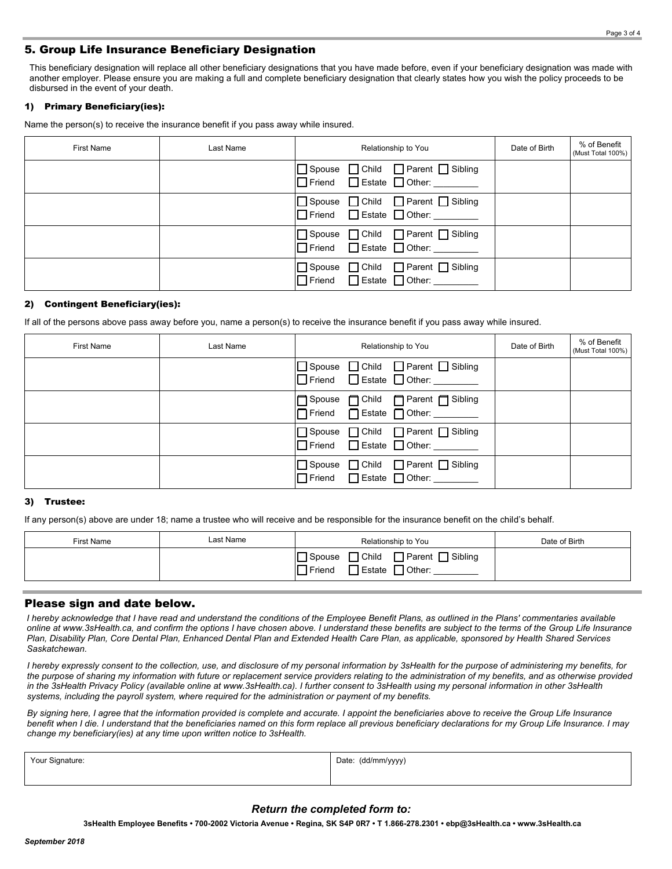# 5. Group Life Insurance Beneficiary Designation

This beneficiary designation will replace all other beneficiary designations that you have made before, even if your beneficiary designation was made with another employer. Please ensure you are making a full and complete beneficiary designation that clearly states how you wish the policy proceeds to be disbursed in the event of your death.

## 1) Primary Beneficiary(ies):

Name the person(s) to receive the insurance benefit if you pass away while insured.

| <b>First Name</b> | Last Name | Relationship to You                                                              | Date of Birth | % of Benefit<br>(Must Total 100%) |
|-------------------|-----------|----------------------------------------------------------------------------------|---------------|-----------------------------------|
|                   |           | □ Spouse □ Child □ Parent □ Sibling<br>□ Friend □ Estate □ Other:                |               |                                   |
|                   |           | □ Spouse □ Child □ Parent □ Sibling<br>$\Box$ Friend $\Box$ Estate $\Box$ Other: |               |                                   |
|                   |           | Spouse Child Parent Sibling<br>Friend Estate Other:                              |               |                                   |
|                   |           | □ Spouse □ Child □ Parent □ Sibling<br>Friend Estate Other:                      |               |                                   |

#### 2) Contingent Beneficiary(ies):

If all of the persons above pass away before you, name a person(s) to receive the insurance benefit if you pass away while insured.

| <b>First Name</b> | Last Name | Relationship to You                                                              | Date of Birth | % of Benefit<br>(Must Total 100%) |
|-------------------|-----------|----------------------------------------------------------------------------------|---------------|-----------------------------------|
|                   |           | □ Spouse □ Child □ Parent □ Sibling<br>$\Box$ Friend $\Box$ Estate $\Box$ Other: |               |                                   |
|                   |           | □ Spouse □ Child □ Parent □ Sibling<br>Triend □ Estate □ Other: ________         |               |                                   |
|                   |           | □ Spouse □ Child □ Parent □ Sibling<br>Friend Estate Other:                      |               |                                   |
|                   |           | □ Spouse □ Child □ Parent □ Sibling<br>Friend Estate Other:                      |               |                                   |

## 3) Trustee:

If any person(s) above are under 18; name a trustee who will receive and be responsible for the insurance benefit on the child's behalf.

| <b>First Name</b> | Last Name | Relationship to You                                                                          | Date of Birth |
|-------------------|-----------|----------------------------------------------------------------------------------------------|---------------|
|                   |           | □ Parent □ Sibling<br>$\Box$ Child<br>Spouse<br>$\Box$ Estate $\Box$ Other:<br>$\neg$ Friend |               |

## Please sign and date below.

*I hereby acknowledge that I have read and understand the conditions of the Employee Benefit Plans, as outlined in the Plans' commentaries available online at www.3sHealth.ca, and confirm the options I have chosen above. I understand these benefits are subject to the terms of the Group Life Insurance Plan, Disability Plan, Core Dental Plan, Enhanced Dental Plan and Extended Health Care Plan, as applicable, sponsored by Health Shared Services Saskatchewan.*

*I hereby expressly consent to the collection, use, and disclosure of my personal information by 3sHealth for the purpose of administering my benefits, for the purpose of sharing my information with future or replacement service providers relating to the administration of my benefits, and as otherwise provided in the 3sHealth Privacy Policy (available online at www.3sHealth.ca). I further consent to 3sHealth using my personal information in other 3sHealth systems, including the payroll system, where required for the administration or payment of my benefits.*

*By signing here, I agree that the information provided is complete and accurate. I appoint the beneficiaries above to receive the Group Life Insurance benefit when I die. I understand that the beneficiaries named on this form replace all previous beneficiary declarations for my Group Life Insurance. I may change my beneficiary(ies) at any time upon written notice to 3sHealth.*

| Your Signature:<br>ັ | Date:<br>(dd/mm/yyyy<br>,,,,,<br>. |
|----------------------|------------------------------------|
|                      |                                    |

## *Return the completed form to:*

**3sHealth Employee Benefits • 700-2002 Victoria Avenue • Regina, SK S4P 0R7 • T 1.866-278.2301 • ebp@3sHealth.ca • www.3sHealth.ca**